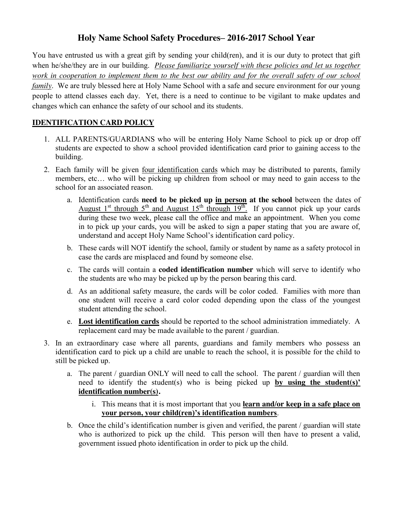## **Holy Name School Safety Procedures– 2016-2017 School Year**

You have entrusted us with a great gift by sending your child(ren), and it is our duty to protect that gift when he/she/they are in our building. *Please familiarize yourself with these policies and let us together work in cooperation to implement them to the best our ability and for the overall safety of our school family*. We are truly blessed here at Holy Name School with a safe and secure environment for our young people to attend classes each day. Yet, there is a need to continue to be vigilant to make updates and changes which can enhance the safety of our school and its students.

## **IDENTIFICATION CARD POLICY**

- 1. ALL PARENTS/GUARDIANS who will be entering Holy Name School to pick up or drop off students are expected to show a school provided identification card prior to gaining access to the building.
- 2. Each family will be given four identification cards which may be distributed to parents, family members, etc… who will be picking up children from school or may need to gain access to the school for an associated reason.
	- a. Identification cards **need to be picked up in person at the school** between the dates of August  $1<sup>st</sup>$  through  $5<sup>th</sup>$  and August  $15<sup>th</sup>$  through  $19<sup>th</sup>$ . If you cannot pick up your cards during these two week, please call the office and make an appointment. When you come in to pick up your cards, you will be asked to sign a paper stating that you are aware of, understand and accept Holy Name School's identification card policy.
	- b. These cards will NOT identify the school, family or student by name as a safety protocol in case the cards are misplaced and found by someone else.
	- c. The cards will contain a **coded identification number** which will serve to identify who the students are who may be picked up by the person bearing this card.
	- d. As an additional safety measure, the cards will be color coded. Families with more than one student will receive a card color coded depending upon the class of the youngest student attending the school.
	- e. **Lost identification cards** should be reported to the school administration immediately. A replacement card may be made available to the parent / guardian.
- 3. In an extraordinary case where all parents, guardians and family members who possess an identification card to pick up a child are unable to reach the school, it is possible for the child to still be picked up.
	- a. The parent / guardian ONLY will need to call the school. The parent / guardian will then need to identify the student(s) who is being picked up **by using the student(s)' identification number(s).** 
		- i. This means that it is most important that you **learn and/or keep in a safe place on your person, your child(ren)'s identification numbers**.
	- b. Once the child's identification number is given and verified, the parent / guardian will state who is authorized to pick up the child. This person will then have to present a valid, government issued photo identification in order to pick up the child.